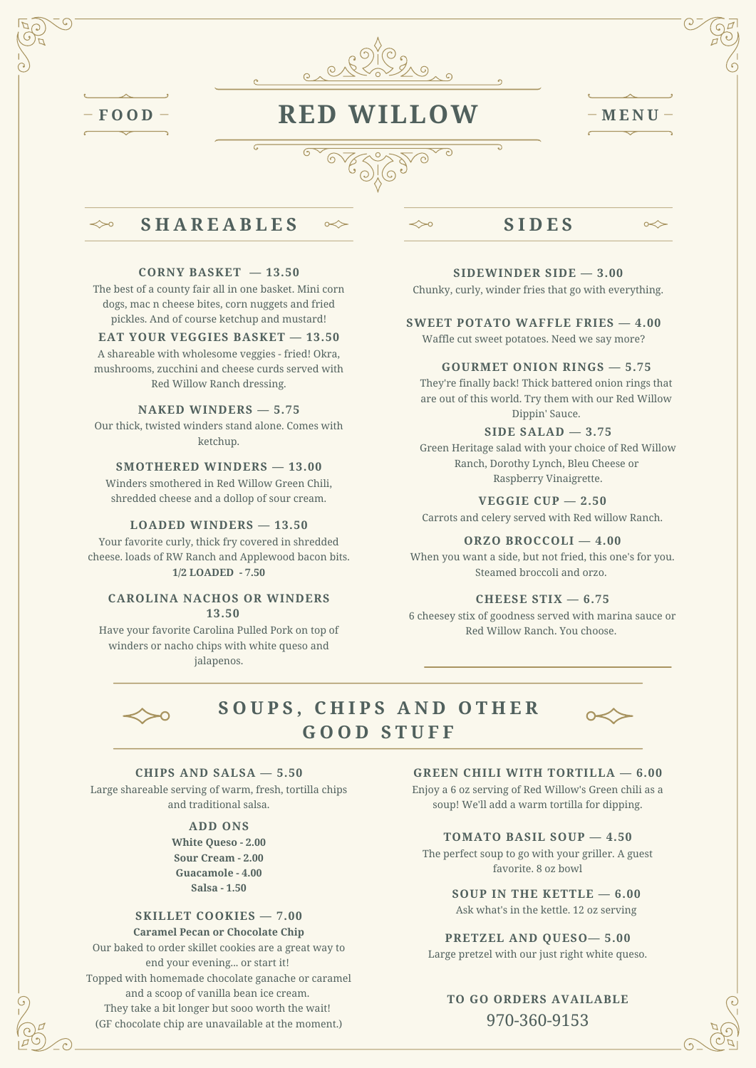

 $\ll$ 

# **<sup>F</sup> <sup>O</sup> <sup>O</sup> <sup>D</sup> RED WILLOW <sup>M</sup> <sup>E</sup> <sup>N</sup> <sup>U</sup>**

⇔∘

 $\infty$ 

# **S H A R E A B L E S**

#### **CORNY BASKET — 13.50**

The best of a county fair all in one basket. Mini corn dogs, mac n cheese bites, corn nuggets and fried pickles. And of course ketchup and mustard!

### **EAT YOUR VEGGIES BASKET — 13.50**

A shareable with wholesome veggies - fried! Okra, mushrooms, zucchini and cheese curds served with Red Willow Ranch dressing.

### **NAKED WINDERS — 5.75**

Our thick, twisted winders stand alone. Comes with ketchup.

#### **SMOTHERED WINDERS — 13.00**

Winders smothered in Red Willow Green Chili, shredded cheese and a dollop of sour cream. **VEGGIE CUP — 2.50**

Your favorite curly, thick fry covered in shredded cheese. loads of RW Ranch and Applewood bacon bits. **1/2 LOADED - 7.50**

#### **CAROLINA NACHOS OR WINDERS 13.50**

Have your favorite Carolina Pulled Pork on top of winders or nacho chips with white queso and jalapenos.

## **S I D E S**

 $\overline{\mathbf{c}}$ 

#### **SIDEWINDER SIDE — 3.00**

Chunky, curly, winder fries that go with everything.

#### **SWEET POTATO WAFFLE FRIES — 4.00**

Waffle cut sweet potatoes. Need we say more?

### **GOURMET ONION RINGS — 5.75**

They're finally back! Thick battered onion rings that are out of this world. Try them with our Red Willow Dippin' Sauce.

#### **SIDE SALAD — 3.75**

Green Heritage salad with your choice of Red Willow Ranch, Dorothy Lynch, Bleu Cheese or Raspberry Vinaigrette.

Carrots and celery served with Red willow Ranch. **LOADED WINDERS — 13.50**

#### **ORZO BROCCOLI — 4.00**

When you want a side, but not fried, this one's for you. Steamed broccoli and orzo.

#### **CHEESE STIX — 6.75**

6 cheesey stix of goodness served with marina sauce or Red Willow Ranch. You choose.



## **S O U P S , C H I P S A N D O T H E R G O O D S T U F F**



### **CHIPS AND SALSA — 5.50**

Large shareable serving of warm, fresh, tortilla chips and traditional salsa.

### **ADD ONS**

**White Queso - 2.00 Sour Cream - 2.00 Guacamole - 4.00 Salsa - 1.50**

#### **SKILLET COOKIES — 7.00**

#### **Caramel Pecan or Chocolate Chip**

Our baked to order skillet cookies are a great way to end your evening... or start it! Topped with homemade chocolate ganache or caramel and a scoop of vanilla bean ice cream. They take a bit longer but sooo worth the wait! (GF chocolate chip are unavailable at the moment.)

#### **GREEN CHILI WITH TORTILLA — 6.00**

Enjoy a 6 oz serving of Red Willow's Green chili as a soup! We'll add a warm tortilla for dipping.

#### **TOMATO BASIL SOUP — 4.50**

The perfect soup to go with your griller. A guest favorite. 8 oz bowl

**SOUP IN THE KETTLE — 6.00**

Ask what's in the kettle. 12 oz serving

### **PRETZEL AND QUESO— 5.00**

Large pretzel with our just right white queso.

## **TO GO ORDERS AVAILABLE** 970-360-9153